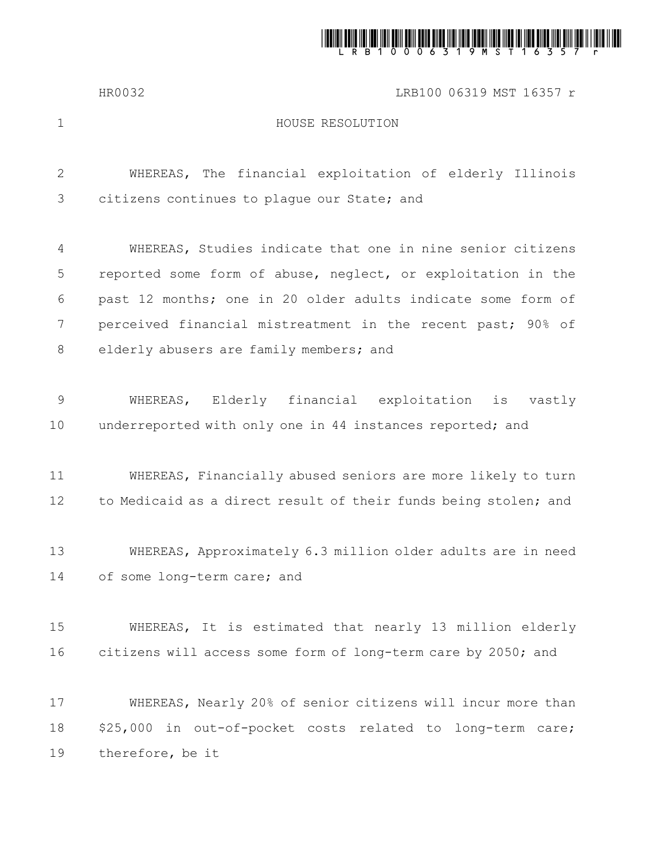

## HR0032 LRB100 06319 MST 16357 r

1

## HOUSE RESOLUTION

WHEREAS, The financial exploitation of elderly Illinois citizens continues to plague our State; and WHEREAS, Studies indicate that one in nine senior citizens reported some form of abuse, neglect, or exploitation in the past 12 months; one in 20 older adults indicate some form of perceived financial mistreatment in the recent past; 90% of 2 3 4 5 6 7

elderly abusers are family members; and 8

WHEREAS, Elderly financial exploitation is vastly underreported with only one in 44 instances reported; and 9 10

WHEREAS, Financially abused seniors are more likely to turn to Medicaid as a direct result of their funds being stolen; and 11 12

WHEREAS, Approximately 6.3 million older adults are in need of some long-term care; and 13 14

WHEREAS, It is estimated that nearly 13 million elderly citizens will access some form of long-term care by 2050; and 15 16

WHEREAS, Nearly 20% of senior citizens will incur more than \$25,000 in out-of-pocket costs related to long-term care; therefore, be it 17 18 19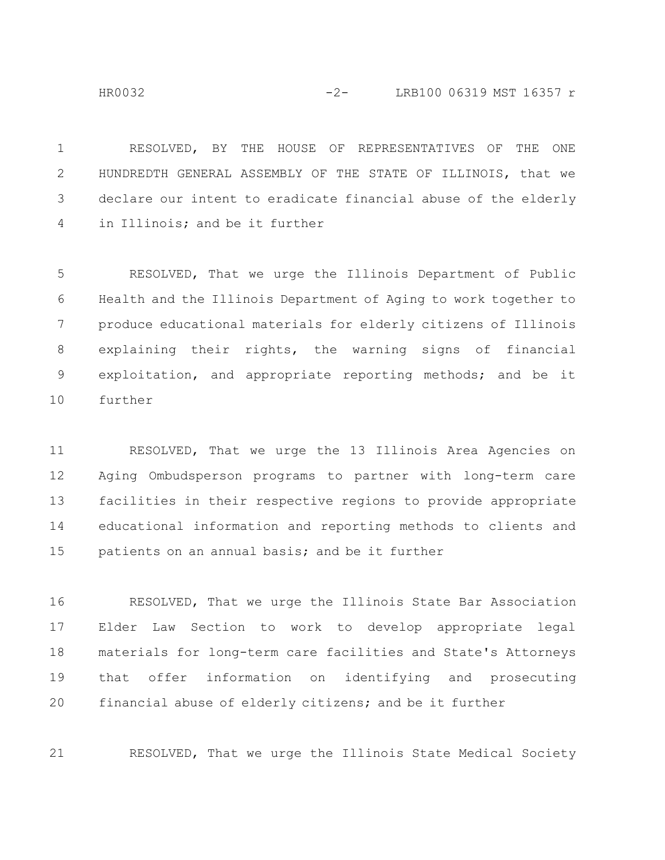$$
-2 - \qquad \qquad \text{LRB100 06319 MST 16357 r}
$$

RESOLVED, BY THE HOUSE OF REPRESENTATIVES OF THE ONE HUNDREDTH GENERAL ASSEMBLY OF THE STATE OF ILLINOIS, that we declare our intent to eradicate financial abuse of the elderly in Illinois; and be it further 1 2 3 4

RESOLVED, That we urge the Illinois Department of Public Health and the Illinois Department of Aging to work together to produce educational materials for elderly citizens of Illinois explaining their rights, the warning signs of financial exploitation, and appropriate reporting methods; and be it further 5 6 7 8 9 10

RESOLVED, That we urge the 13 Illinois Area Agencies on Aging Ombudsperson programs to partner with long-term care facilities in their respective regions to provide appropriate educational information and reporting methods to clients and patients on an annual basis; and be it further 11 12 13 14 15

RESOLVED, That we urge the Illinois State Bar Association Elder Law Section to work to develop appropriate legal materials for long-term care facilities and State's Attorneys that offer information on identifying and prosecuting financial abuse of elderly citizens; and be it further 16 17 18 19 20

RESOLVED, That we urge the Illinois State Medical Society 21